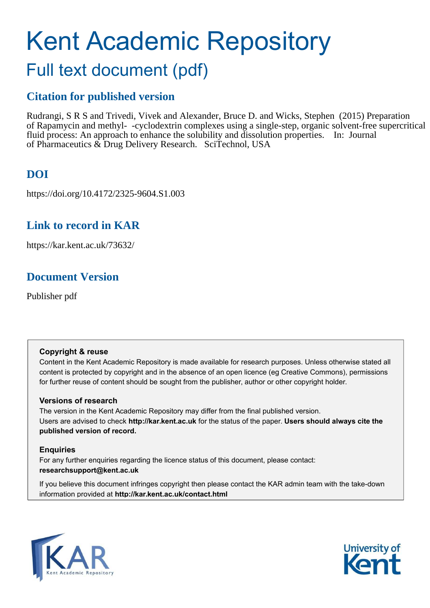# Kent Academic Repository

# Full text document (pdf)

### **Citation for published version**

Rudrangi, S R S and Trivedi, Vivek and Alexander, Bruce D. and Wicks, Stephen (2015) Preparation of Rapamycin and methyl- -cyclodextrin complexes using a single-step, organic solvent-free supercritical fluid process: An approach to enhance the solubility and dissolution properties. In: Journal of Pharmaceutics & Drug Delivery Research. SciTechnol, USA

## **DOI**

https://doi.org/10.4172/2325-9604.S1.003

### **Link to record in KAR**

https://kar.kent.ac.uk/73632/

### **Document Version**

Publisher pdf

#### **Copyright & reuse**

Content in the Kent Academic Repository is made available for research purposes. Unless otherwise stated all content is protected by copyright and in the absence of an open licence (eg Creative Commons), permissions for further reuse of content should be sought from the publisher, author or other copyright holder.

#### **Versions of research**

The version in the Kent Academic Repository may differ from the final published version. Users are advised to check **http://kar.kent.ac.uk** for the status of the paper. **Users should always cite the published version of record.**

#### **Enquiries**

For any further enquiries regarding the licence status of this document, please contact: **researchsupport@kent.ac.uk**

If you believe this document infringes copyright then please contact the KAR admin team with the take-down information provided at **http://kar.kent.ac.uk/contact.html**